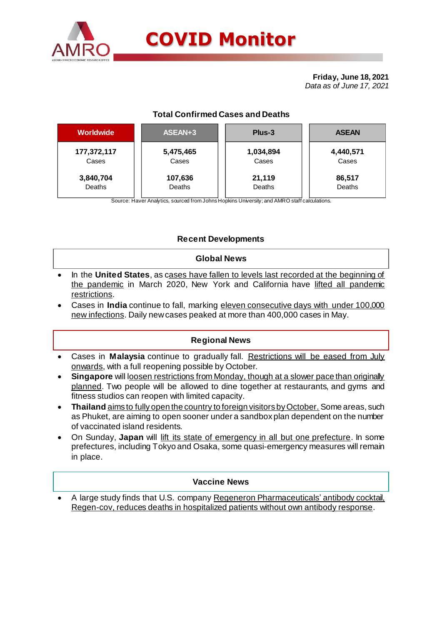

**Friday, June 18, 2021** *Data as of June 17, 2021*

# **Total Confirmed Cases and Deaths**

| <b>Worldwide</b> | ASEAN+3   | Plus-3    | <b>ASEAN</b> |  |  |
|------------------|-----------|-----------|--------------|--|--|
| 177,372,117      | 5,475,465 | 1,034,894 | 4,440,571    |  |  |
| Cases            | Cases     | Cases     | Cases        |  |  |
| 3,840,704        | 107,636   | 21,119    | 86,517       |  |  |
| Deaths           | Deaths    | Deaths    | Deaths       |  |  |

Source: Haver Analytics, sourced from Johns Hopkins University; and AMRO staff calculations.

# **Recent Developments**

# **Global News**

- In the **United States**, as cases have fallen to levels last recorded at the beginning of the pandemic in March 2020, New York and California have lifted all pandemic restrictions.
- Cases in **India** continue to fall, marking eleven consecutive days with under 100,000 new infections. Daily new cases peaked at more than 400,000 cases in May.

# **Regional News**

- Cases in **Malaysia** continue to gradually fall. Restrictions will be eased from July onwards, with a full reopening possible by October.
- **Singapore** will loosen restrictions from Monday, though at a slower pace than originally planned. Two people will be allowed to dine together at restaurants, and gyms and fitness studios can reopen with limited capacity.
- **Thailand** aims to fully open the country to foreign visitors by October. Some areas, such as Phuket, are aiming to open sooner under a sandbox plan dependent on the number of vaccinated island residents.
- On Sunday, **Japan** will lift its state of emergency in all but one prefecture. In some prefectures, including Tokyo and Osaka, some quasi-emergency measures will remain in place.

# **Vaccine News**

 A large study finds that U.S. company Regeneron Pharmaceuticals' antibody cocktail, Regen-cov, reduces deaths in hospitalized patients without own antibody response.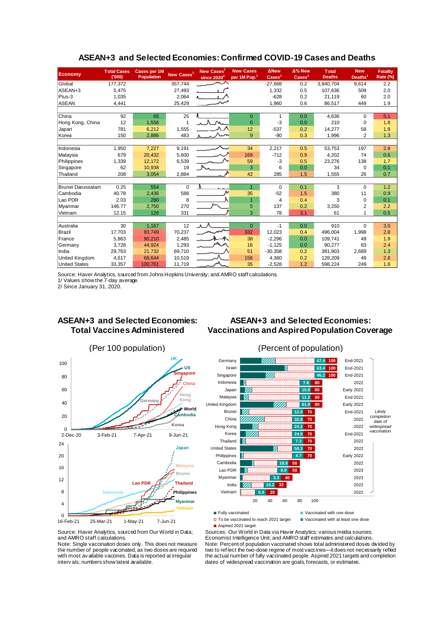| <b>Economy</b>           | <b>Total Cases</b><br>(000) | <b>Cases per 1M</b><br><b>Population</b> | New Cases <sup>1</sup> | New Cases <sup>1</sup><br>since $2020^2$ | <b>New Cases</b><br>per 1M Pop. <sup>1</sup> | <b>ANew</b><br>$\text{Case} \mathsf{s}^1$ | $\Delta\%$ New<br>$\text{Case} \text{s}^1$ | <b>Total</b><br><b>Deaths</b> | <b>New</b><br>Deaths <sup>1</sup> | <b>Fatality</b><br>Rate (%) |
|--------------------------|-----------------------------|------------------------------------------|------------------------|------------------------------------------|----------------------------------------------|-------------------------------------------|--------------------------------------------|-------------------------------|-----------------------------------|-----------------------------|
| Global                   | 177,372                     |                                          | 357,744                |                                          |                                              | $-27,668$                                 | 0.2                                        | 3,840,704                     | 9,614                             | 2.2                         |
| ASEAN+3                  | 5,475                       |                                          | 27,493                 |                                          |                                              | 1,332                                     | 0.5                                        | 107,636                       | 509                               | 2.0                         |
| Plus-3                   | 1,035                       |                                          | 2,064                  |                                          |                                              | $-628$                                    | 0.2                                        | 21,119                        | 60                                | 2.0                         |
| <b>ASEAN</b>             | 4,441                       |                                          | 25,429                 |                                          |                                              | 1,960                                     | 0.6                                        | 86,517                        | 449                               | 1.9                         |
|                          |                             |                                          |                        |                                          |                                              |                                           |                                            |                               |                                   |                             |
| China                    | 92                          | 65                                       | 25                     |                                          | $\overline{0}$                               | 1                                         | 0.0                                        | 4,636                         | $\Omega$                          | 5.1                         |
| Hong Kong, China         | 12                          | 1,556                                    | 1                      |                                          | $\overline{0}$                               | $-3$                                      | 0.0                                        | 210                           | $\mathbf 0$                       | 1.8                         |
| Japan                    | 781                         | 6,212                                    | 1,555                  |                                          | 12                                           | $-537$                                    | 0.2                                        | 14,277                        | 58                                | 1.8                         |
| Korea                    | 150                         | 2,886                                    | 483                    |                                          | 9                                            | $-90$                                     | 0.3                                        | 1,996                         | 2                                 | 1.3                         |
|                          |                             |                                          |                        |                                          |                                              |                                           |                                            |                               |                                   |                             |
| Indonesia                | 1,950                       | 7,227                                    | 9,191                  |                                          | 34                                           | 2,217                                     | 0.5                                        | 53,753                        | 197                               | 2.8                         |
| Malaysia                 | 679                         | 20,432                                   | 5,600                  |                                          | 169                                          | $-712$                                    | 0.9                                        | 4,202                         | 74                                | 0.6                         |
| Philippines              | 1,339                       | 12,172                                   | 6,539                  |                                          | 59                                           | $-3$                                      | 0.5                                        | 23,276                        | 138                               | 1.7                         |
| Singapore                | 62                          | 10,938                                   | 19                     |                                          | 3                                            | 6                                         | 0.0                                        | 34                            | $\Omega$                          | 0.1                         |
| Thailand                 | 208                         | 3,054                                    | 2,884                  |                                          | 42                                           | 285                                       | 1.5                                        | 1,555                         | 26                                | 0.7                         |
|                          |                             |                                          |                        |                                          |                                              |                                           |                                            |                               |                                   |                             |
| <b>Brunei Darussalam</b> | 0.25                        | 554                                      | $\mathbf 0$            | A.                                       | $\overline{1}$                               | $\Omega$                                  | 0.1                                        | 3                             | $\Omega$                          | 1.2                         |
| Cambodia                 | 40.78                       | 2,436                                    | 588                    |                                          | 35                                           | $-52$                                     | 1.5                                        | 380                           | 11                                | 0.9                         |
| Lao PDR                  | 2.03                        | 280                                      | 8                      |                                          | $\overline{1}$                               | 4                                         | 0.4                                        | 3                             | $\Omega$                          | 0.1                         |
| Myanmar                  | 146.77                      | 2,750                                    | 270                    |                                          | 5                                            | 137                                       | 0.2                                        | 3,250                         | 2                                 | 2.2                         |
| Vietnam                  | 12.15                       | 126                                      | 331                    |                                          | 3                                            | 78                                        | 3.1                                        | 61                            | 1                                 | 0.5                         |
|                          |                             |                                          |                        |                                          |                                              |                                           |                                            |                               |                                   |                             |
| Australia                | 30                          | 1,167                                    | 12                     |                                          | $\Omega$                                     | $-1$                                      | 0.0                                        | 910                           | $\Omega$                          | 3.0                         |
| Brazil                   | 17,703                      | 83,749                                   | 70,237                 |                                          | 332                                          | 12,023                                    | 0.4                                        | 496.004                       | 1,998                             | 2.8                         |
| France                   | 5,863                       | 90,210                                   | 2,485                  |                                          | 38                                           | $-2,296$                                  | 0.0                                        | 109.741                       | 49                                | 1.9                         |
| Germany                  | 3,728                       | 44.924                                   | 1,293                  |                                          | 16                                           | $-1,125$                                  | 0.0                                        | 90.277                        | 83                                | 2.4                         |
| India                    | 29,763                      | 21,732                                   | 69,710                 |                                          | 51                                           | $-30,358$                                 | 0.2                                        | 381.903                       | 2,689                             | 1.3                         |
| <b>United Kingdom</b>    | 4,617                       | 68,644                                   | 10,519                 |                                          | 156                                          | 4,360                                     | 0.2                                        | 128,209                       | 49                                | 2.8                         |
| <b>United States</b>     | 33,357                      | 100,761                                  | 11,719                 |                                          | 35                                           | $-2,528$                                  | 1.2                                        | 598,224                       | 249                               | 1.8                         |

### **ASEAN+3 and Selected Economies: Confirmed COVID-19 Cases and Deaths**

Source: Haver Analytics, sourced from Johns Hopkins University; and AMRO staff calculations.

1/ Values show the 7-day average.

2/ Since January 31, 2020.

# **ASEAN+3 and Selected Economies: Total Vaccines Administered**

# **ASEAN+3 and Selected Economies: Vaccinations and Aspired Population Coverage**





Source: Haver Analytics, sourced from Our World in Data; and AMRO staff calculations.

Note: Single vaccination doses only. This does not measure the number of people vaccinated, as two doses are required with most av ailable vaccines. Data is reported at irregular interv als; numbers show latest available.

Sources: Our World in Data via Haver Analytics; various media sources; Economist Intelligence Unit; and AMRO staff estimates and calculations. Note: Percent of population vaccinated shows total administered doses divided by two to ref lect the two-dose regime of most vaccines—it does not necessarily reflect the actual number of fully vaccinated people. Aspired 2021 targets and completion dates of widespread vaccination are goals, forecasts, or estimates.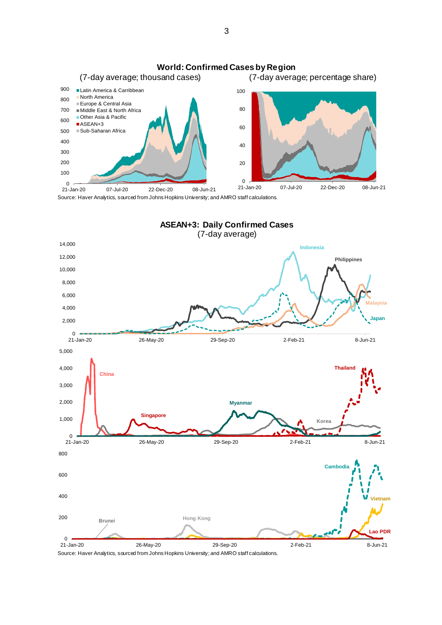

Source: Haver Analytics, sourced from Johns Hopkins University; and AMRO staff calculations.



Source: Haver Analytics, sourced from Johns Hopkins University; and AMRO staff calculations.

3